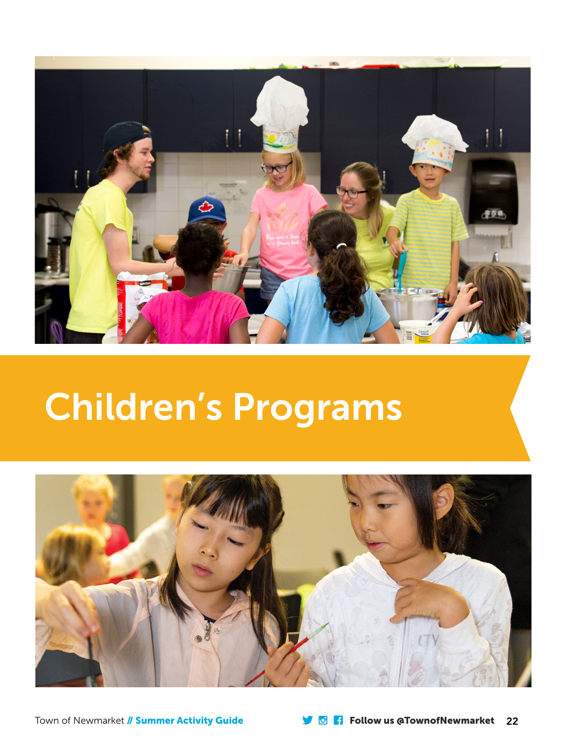

# Children's Programs